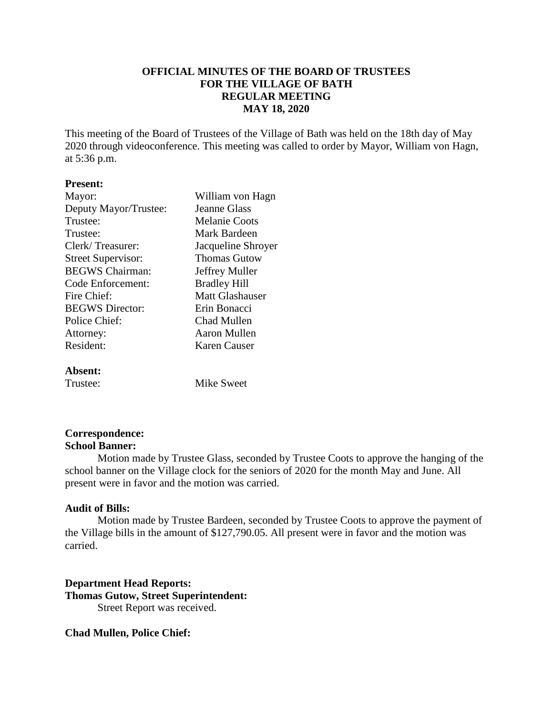# **OFFICIAL MINUTES OF THE BOARD OF TRUSTEES FOR THE VILLAGE OF BATH REGULAR MEETING MAY 18, 2020**

This meeting of the Board of Trustees of the Village of Bath was held on the 18th day of May 2020 through videoconference. This meeting was called to order by Mayor, William von Hagn, at 5:36 p.m.

## **Present:**

| Mayor:                    | William von Hagn     |
|---------------------------|----------------------|
| Deputy Mayor/Trustee:     | <b>Jeanne Glass</b>  |
| Trustee:                  | <b>Melanie Coots</b> |
| Trustee:                  | Mark Bardeen         |
| Clerk/Treasurer:          | Jacqueline Shroyer   |
| <b>Street Supervisor:</b> | <b>Thomas Gutow</b>  |
| <b>BEGWS</b> Chairman:    | Jeffrey Muller       |
| Code Enforcement:         | <b>Bradley Hill</b>  |
| Fire Chief:               | Matt Glashauser      |
| <b>BEGWS</b> Director:    | Erin Bonacci         |
| Police Chief:             | Chad Mullen          |
| Attorney:                 | Aaron Mullen         |
| Resident:                 | Karen Causer         |
|                           |                      |

### **Absent:**

Trustee: Mike Sweet

# **Correspondence:**

### **School Banner:**

Motion made by Trustee Glass, seconded by Trustee Coots to approve the hanging of the school banner on the Village clock for the seniors of 2020 for the month May and June. All present were in favor and the motion was carried.

# **Audit of Bills:**

Motion made by Trustee Bardeen, seconded by Trustee Coots to approve the payment of the Village bills in the amount of \$127,790.05. All present were in favor and the motion was carried.

**Department Head Reports: Thomas Gutow, Street Superintendent:** Street Report was received.

**Chad Mullen, Police Chief:**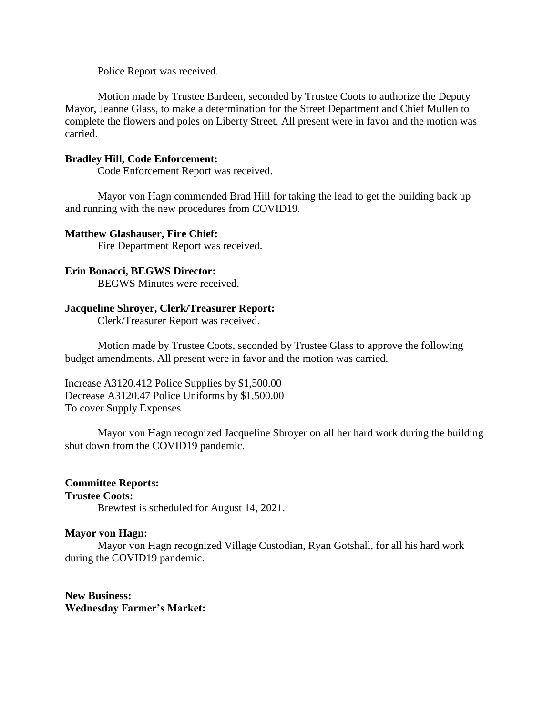Police Report was received.

Motion made by Trustee Bardeen, seconded by Trustee Coots to authorize the Deputy Mayor, Jeanne Glass, to make a determination for the Street Department and Chief Mullen to complete the flowers and poles on Liberty Street. All present were in favor and the motion was carried.

# **Bradley Hill, Code Enforcement:**

Code Enforcement Report was received.

Mayor von Hagn commended Brad Hill for taking the lead to get the building back up and running with the new procedures from COVID19.

### **Matthew Glashauser, Fire Chief:**

Fire Department Report was received.

### **Erin Bonacci, BEGWS Director:**

BEGWS Minutes were received.

## **Jacqueline Shroyer, Clerk/Treasurer Report:**

Clerk/Treasurer Report was received.

Motion made by Trustee Coots, seconded by Trustee Glass to approve the following budget amendments. All present were in favor and the motion was carried.

Increase A3120.412 Police Supplies by \$1,500.00 Decrease A3120.47 Police Uniforms by \$1,500.00 To cover Supply Expenses

Mayor von Hagn recognized Jacqueline Shroyer on all her hard work during the building shut down from the COVID19 pandemic.

# **Committee Reports:**

### **Trustee Coots:**

Brewfest is scheduled for August 14, 2021.

### **Mayor von Hagn:**

Mayor von Hagn recognized Village Custodian, Ryan Gotshall, for all his hard work during the COVID19 pandemic.

**New Business: Wednesday Farmer's Market:**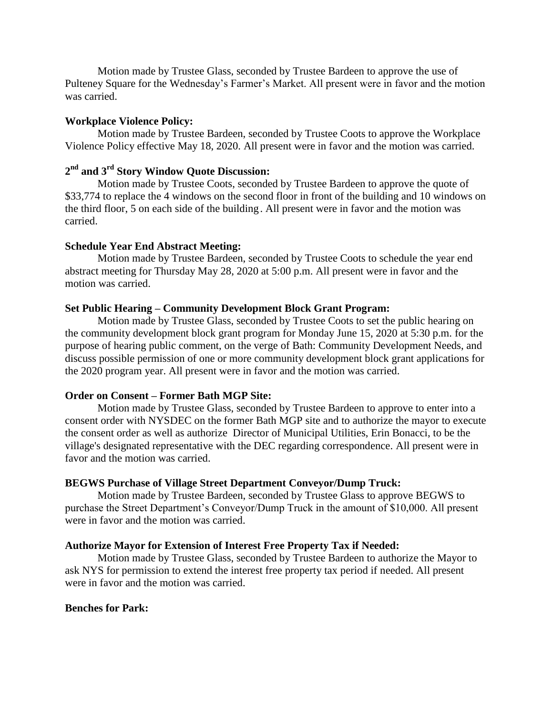Motion made by Trustee Glass, seconded by Trustee Bardeen to approve the use of Pulteney Square for the Wednesday's Farmer's Market. All present were in favor and the motion was carried.

#### **Workplace Violence Policy:**

Motion made by Trustee Bardeen, seconded by Trustee Coots to approve the Workplace Violence Policy effective May 18, 2020. All present were in favor and the motion was carried.

# **2 nd and 3rd Story Window Quote Discussion:**

Motion made by Trustee Coots, seconded by Trustee Bardeen to approve the quote of \$33,774 to replace the 4 windows on the second floor in front of the building and 10 windows on the third floor, 5 on each side of the building. All present were in favor and the motion was carried.

#### **Schedule Year End Abstract Meeting:**

Motion made by Trustee Bardeen, seconded by Trustee Coots to schedule the year end abstract meeting for Thursday May 28, 2020 at 5:00 p.m. All present were in favor and the motion was carried.

#### **Set Public Hearing – Community Development Block Grant Program:**

Motion made by Trustee Glass, seconded by Trustee Coots to set the public hearing on the community development block grant program for Monday June 15, 2020 at 5:30 p.m. for the purpose of hearing public comment, on the verge of Bath: Community Development Needs, and discuss possible permission of one or more community development block grant applications for the 2020 program year. All present were in favor and the motion was carried.

#### **Order on Consent – Former Bath MGP Site:**

Motion made by Trustee Glass, seconded by Trustee Bardeen to approve to enter into a consent order with NYSDEC on the former Bath MGP site and to authorize the mayor to execute the consent order as well as authorize Director of Municipal Utilities, Erin Bonacci, to be the village's designated representative with the DEC regarding correspondence. All present were in favor and the motion was carried.

### **BEGWS Purchase of Village Street Department Conveyor/Dump Truck:**

Motion made by Trustee Bardeen, seconded by Trustee Glass to approve BEGWS to purchase the Street Department's Conveyor/Dump Truck in the amount of \$10,000. All present were in favor and the motion was carried.

#### **Authorize Mayor for Extension of Interest Free Property Tax if Needed:**

Motion made by Trustee Glass, seconded by Trustee Bardeen to authorize the Mayor to ask NYS for permission to extend the interest free property tax period if needed. All present were in favor and the motion was carried.

## **Benches for Park:**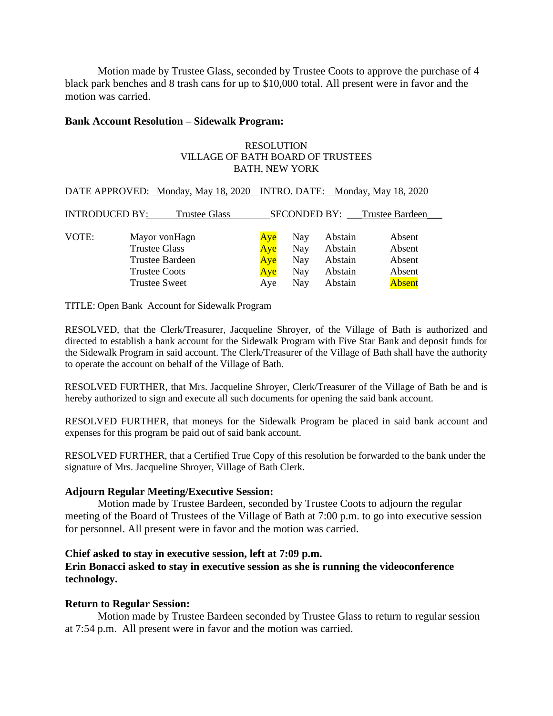Motion made by Trustee Glass, seconded by Trustee Coots to approve the purchase of 4 black park benches and 8 trash cans for up to \$10,000 total. All present were in favor and the motion was carried.

## **Bank Account Resolution – Sidewalk Program:**

#### RESOLUTION VILLAGE OF BATH BOARD OF TRUSTEES BATH, NEW YORK

| DATE APPROVED: Monday, May 18, 2020 INTRO. DATE: Monday, May 18, 2020 |                      |     |            |         |                              |  |  |
|-----------------------------------------------------------------------|----------------------|-----|------------|---------|------------------------------|--|--|
| INTRODUCED BY:                                                        | <b>Trustee Glass</b> |     |            |         | SECONDED BY: Trustee Bardeen |  |  |
|                                                                       |                      |     |            |         |                              |  |  |
| VOTE:                                                                 | Mayor vonHagn        | Aye | <b>Nay</b> | Abstain | Absent                       |  |  |
|                                                                       | <b>Trustee Glass</b> | Aye | Nay        | Abstain | Absent                       |  |  |
|                                                                       | Trustee Bardeen      | Aye | Nay        | Abstain | Absent                       |  |  |
|                                                                       | <b>Trustee Coots</b> | Aye | <b>Nay</b> | Abstain | Absent                       |  |  |
|                                                                       | <b>Trustee Sweet</b> | Aye | Nay        | Abstain | <b>Absent</b>                |  |  |

TITLE: Open Bank Account for Sidewalk Program

RESOLVED, that the Clerk/Treasurer, Jacqueline Shroyer, of the Village of Bath is authorized and directed to establish a bank account for the Sidewalk Program with Five Star Bank and deposit funds for the Sidewalk Program in said account. The Clerk/Treasurer of the Village of Bath shall have the authority to operate the account on behalf of the Village of Bath.

RESOLVED FURTHER, that Mrs. Jacqueline Shroyer, Clerk/Treasurer of the Village of Bath be and is hereby authorized to sign and execute all such documents for opening the said bank account.

RESOLVED FURTHER, that moneys for the Sidewalk Program be placed in said bank account and expenses for this program be paid out of said bank account.

RESOLVED FURTHER, that a Certified True Copy of this resolution be forwarded to the bank under the signature of Mrs. Jacqueline Shroyer, Village of Bath Clerk.

# **Adjourn Regular Meeting/Executive Session:**

Motion made by Trustee Bardeen, seconded by Trustee Coots to adjourn the regular meeting of the Board of Trustees of the Village of Bath at 7:00 p.m. to go into executive session for personnel. All present were in favor and the motion was carried.

# **Chief asked to stay in executive session, left at 7:09 p.m.**

# **Erin Bonacci asked to stay in executive session as she is running the videoconference technology.**

# **Return to Regular Session:**

Motion made by Trustee Bardeen seconded by Trustee Glass to return to regular session at 7:54 p.m. All present were in favor and the motion was carried.